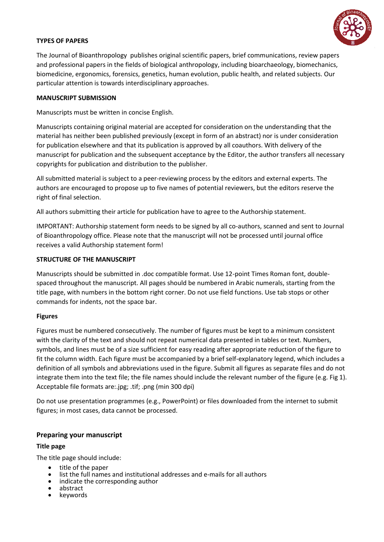

# **TYPES OF PAPERS**

The Journal of Bioanthropology publishes original scientific papers, brief communications, review papers and professional papers in the fields of biological anthropology, including bioarchaeology, biomechanics, biomedicine, ergonomics, forensics, genetics, human evolution, public health, and related subjects. Our particular attention is towards interdisciplinary approaches.

## **MANUSCRIPT SUBMISSION**

Manuscripts must be written in concise English.

Manuscripts containing original material are accepted for consideration on the understanding that the material has neither been published previously (except in form of an abstract) nor is under consideration for publication elsewhere and that its publication is approved by all coauthors. With delivery of the manuscript for publication and the subsequent acceptance by the Editor, the author transfers all necessary copyrights for publication and distribution to the publisher.

All submitted material is subject to a peer-reviewing process by the editors and external experts. The authors are encouraged to propose up to five names of potential reviewers, but the editors reserve the right of final selection.

All authors submitting their article for publication have to agree to the Authorship statement.

IMPORTANT: Authorship statement form needs to be signed by all co-authors, scanned and sent to Journal of Bioanthropology office. Please note that the manuscript will not be processed until journal office receives a valid Authorship statement form!

# **STRUCTURE OF THE MANUSCRIPT**

Manuscripts should be submitted in .doc compatible format. Use 12-point Times Roman font, doublespaced throughout the manuscript. All pages should be numbered in Arabic numerals, starting from the title page, with numbers in the bottom right corner. Do not use field functions. Use tab stops or other commands for indents, not the space bar.

# **Figures**

Figures must be numbered consecutively. The number of figures must be kept to a minimum consistent with the clarity of the text and should not repeat numerical data presented in tables or text. Numbers, symbols, and lines must be of a size sufficient for easy reading after appropriate reduction of the figure to fit the column width. Each figure must be accompanied by a brief self-explanatory legend, which includes a definition of all symbols and abbreviations used in the figure. Submit all figures as separate files and do not integrate them into the text file; the file names should include the relevant number of the figure (e.g. Fig 1). Acceptable file formats are:.jpg; .tif; .png (min 300 dpi)

Do not use presentation programmes (e.g., PowerPoint) or files downloaded from the internet to submit figures; in most cases, data cannot be processed.

# **Preparing your manuscript**

# **Title page**

The title page should include:

- title of the paper
- $\bullet$  list the full names and institutional addresses and e-mails for all authors indicate the corresponding author
- indicate the corresponding author
- $\bullet$  abstract<br> $\bullet$  keyword
- keywords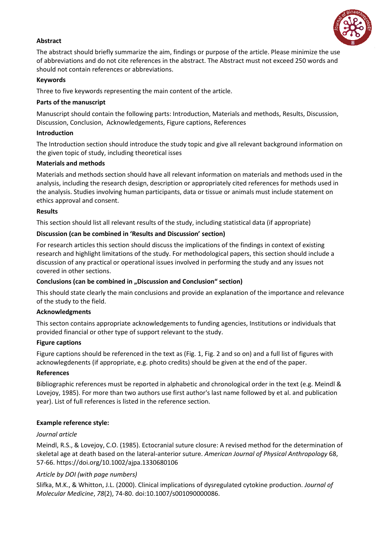

# **Abstract**

The abstract should briefly summarize the aim, findings or purpose of the article. Please minimize the use of abbreviations and do not cite references in the abstract. The Abstract must not exceed 250 words and should not contain references or abbreviations.

# **Keywords**

Three to five keywords representing the main content of the article.

# **Parts of the manuscript**

Manuscript should contain the following parts: Introduction, Materials and methods, Results, Discussion, Discussion, Conclusion, Acknowledgements, Figure captions, References

# **Introduction**

The Introduction section should introduce the study topic and give all relevant background information on the given topic of study, including theoretical isses

# **Materials and methods**

Materials and methods section should have all relevant information on materials and methods used in the analysis, including the research design, description or appropriately cited references for methods used in the analysis. Studies involving human participants, data or tissue or animals must include statement on ethics approval and consent.

## **Results**

This section should list all relevant results of the study, including statistical data (if appropriate)

# **Discussion (can be combined in 'Results and Discussion' section)**

For research articles this section should discuss the implications of the findings in context of existing research and highlight limitations of the study. For methodological papers, this section should include a discussion of any practical or operational issues involved in performing the study and any issues not covered in other sections.

# **Conclusions** (can be combined in ., Discussion and Conclusion" section)

This should state clearly the main conclusions and provide an explanation of the importance and relevance of the study to the field.

# **Acknowledgments**

This secton contains appropriate acknowledgements to funding agencies, Institutions or individuals that provided financial or other type of support relevant to the study.

# **Figure captions**

Figure captions should be referenced in the text as (Fig. 1, Fig. 2 and so on) and a full list of figures with acknowlegdenents (if appropriate, e.g. photo credits) should be given at the end of the paper.

### **References**

Bibliographic references must be reported in alphabetic and chronological order in the text (e.g. Meindl & Lovejoy, 1985). For more than two authors use first author's last name followed by et al. and publication year). List of full references is listed in the reference section.

# **Example reference style:**

# *Journal article*

Meindl, R.S., & Lovejoy, C.O. (1985). Ectocranial suture closure: A revised method for the determination of skeletal age at death based on the lateral-anterior suture. *American Journal of Physical Anthropology* 68, 57-66. https://doi.org/10.1002/ajpa.1330680106

# *Article by DOI (with page numbers)*

Slifka, M.K., & Whitton, J.L. (2000). Clinical implications of dysregulated cytokine production. *Journal of Molecular Medicine*, *78*(2), 74-80. doi:10.1007/s001090000086.